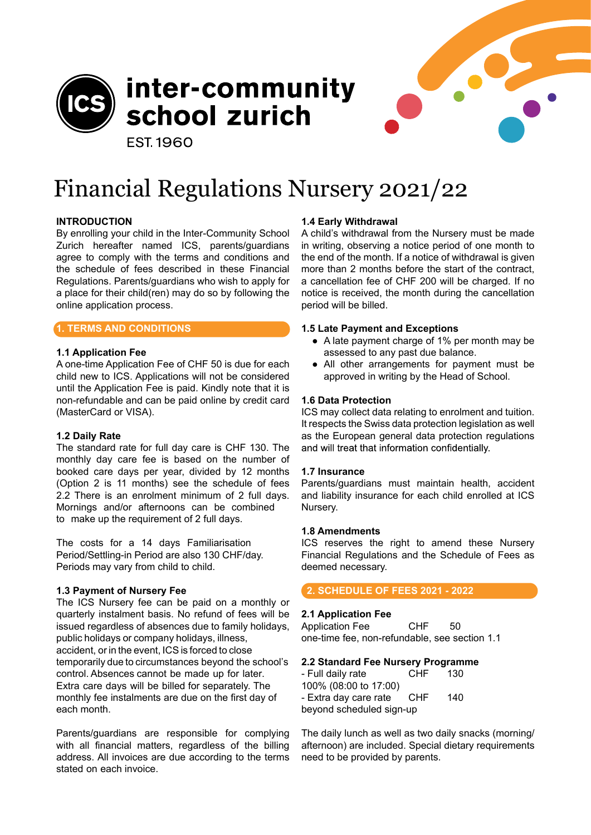

inter-community school zurich

**EST 1960** 



## **INTRODUCTION**

By enrolling your child in the Inter-Community School Zurich hereafter named ICS, parents/guardians agree to comply with the terms and conditions and the schedule of fees described in these Financial Regulations. Parents/guardians who wish to apply for a place for their child(ren) may do so by following the online application process.

## **1. TERMS AND CONDITIONS**

## **1.1 Application Fee**

A one-time Application Fee of CHF 50 is due for each child new to ICS. Applications will not be considered until the Application Fee is paid. Kindly note that it is non-refundable and can be paid online by credit card (MasterCard or VISA).

# **1.2 Daily Rate**

The standard rate for full day care is CHF 130. The monthly day care fee is based on the number of booked care days per year, divided by 12 months (Option 2 is 11 months) see the schedule of fees 2.2 There is an enrolment minimum of 2 full days. Mornings and/or afternoons can be combined to make up the requirement of 2 full days.

The costs for a 14 days Familiarisation Period/Settling-in Period are also 130 CHF/day. Periods may vary from child to child.

#### **1.3 Payment of Nursery Fee**

The ICS Nursery fee can be paid on a monthly or quarterly instalment basis. No refund of fees will be issued regardless of absences due to family holidays, public holidays or company holidays, illness, accident, or in the event, ICS is forced to close temporarily due to circumstances beyond the school's control. Absences cannot be made up for later. Extra care days will be billed for separately. The monthly fee instalments are due on the first day of each month.

Parents/guardians are responsible for complying with all financial matters, regardless of the billing address. All invoices are due according to the terms stated on each invoice.

## **1.4 Early Withdrawal**

A child's withdrawal from the Nursery must be made in writing, observing a notice period of one month to the end of the month. If a notice of withdrawal is given more than 2 months before the start of the contract, a cancellation fee of CHF 200 will be charged. If no notice is received, the month during the cancellation period will be billed.

#### **1.5 Late Payment and Exceptions**

- A late payment charge of 1% per month may be assessed to any past due balance.
- All other arrangements for payment must be approved in writing by the Head of School.

#### **1.6 Data Protection**

ICS may collect data relating to enrolment and tuition. It respects the Swiss data protection legislation as well as the European general data protection regulations and will treat that information confidentially.

#### **1.7 Insurance**

Parents/guardians must maintain health, accident and liability insurance for each child enrolled at ICS Nursery.

#### **1.8 Amendments**

ICS reserves the right to amend these Nursery Financial Regulations and the Schedule of Fees as deemed necessary.

# **2. SCHEDULE OF FEES 2021 - 2022**

#### **2.1 Application Fee**

Application Fee CHF 50 one-time fee, non-refundable, see section 1.1

# **2.2 Standard Fee Nursery Programme**

- Full daily rate CHF 130 100% (08:00 to 17:00) - Extra day care rate CHF 140 beyond scheduled sign-up

The daily lunch as well as two daily snacks (morning/ afternoon) are included. Special dietary requirements need to be provided by parents.